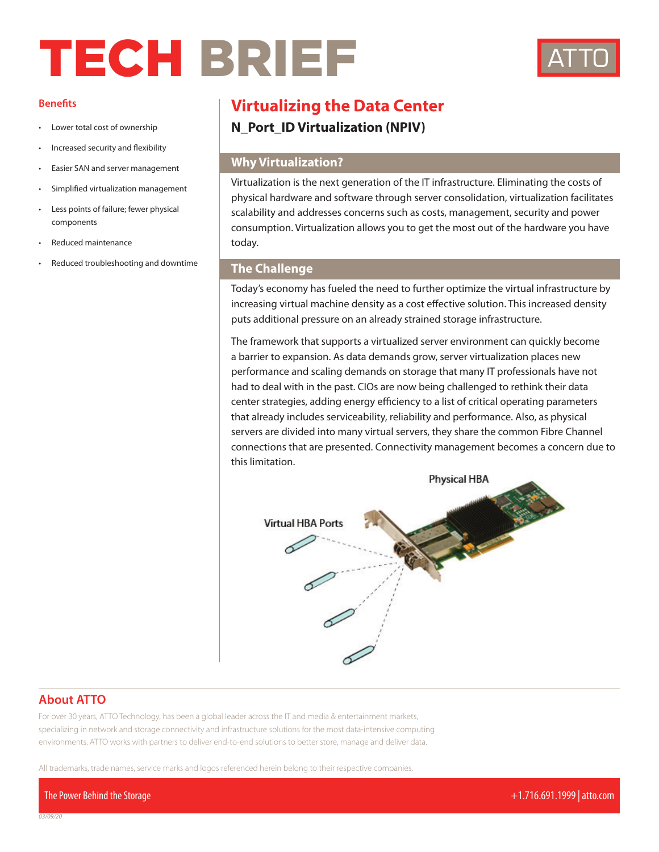# TECH BRIEF



#### **Benefits**

- Lower total cost of ownership
- Increased security and flexibility
- Easier SAN and server management
- Simplified virtualization management
- Less points of failure; fewer physical components
- Reduced maintenance
- Reduced troubleshooting and downtime

## **Virtualizing the Data Center**

**N\_Port\_ID Virtualization (NPIV)**

#### **Why Virtualization?**

Virtualization is the next generation of the IT infrastructure. Eliminating the costs of physical hardware and software through server consolidation, virtualization facilitates scalability and addresses concerns such as costs, management, security and power consumption. Virtualization allows you to get the most out of the hardware you have today.

#### **The Challenge**

Today's economy has fueled the need to further optimize the virtual infrastructure by increasing virtual machine density as a cost effective solution. This increased density puts additional pressure on an already strained storage infrastructure.

The framework that supports a virtualized server environment can quickly become a barrier to expansion. As data demands grow, server virtualization places new performance and scaling demands on storage that many IT professionals have not had to deal with in the past. CIOs are now being challenged to rethink their data center strategies, adding energy efficiency to a list of critical operating parameters that already includes serviceability, reliability and performance. Also, as physical servers are divided into many virtual servers, they share the common Fibre Channel connections that are presented. Connectivity management becomes a concern due to this limitation.



#### **About ATTO**

For over 30 years, ATTO Technology, has been a global leader across the IT and media & entertainment markets, specializing in network and storage connectivity and infrastructure solutions for the most data-intensive computing environments. ATTO works with partners to deliver end-to-end solutions to better store, manage and deliver data.

All trademarks, trade names, service marks and logos referenced herein belong to their respective companies.